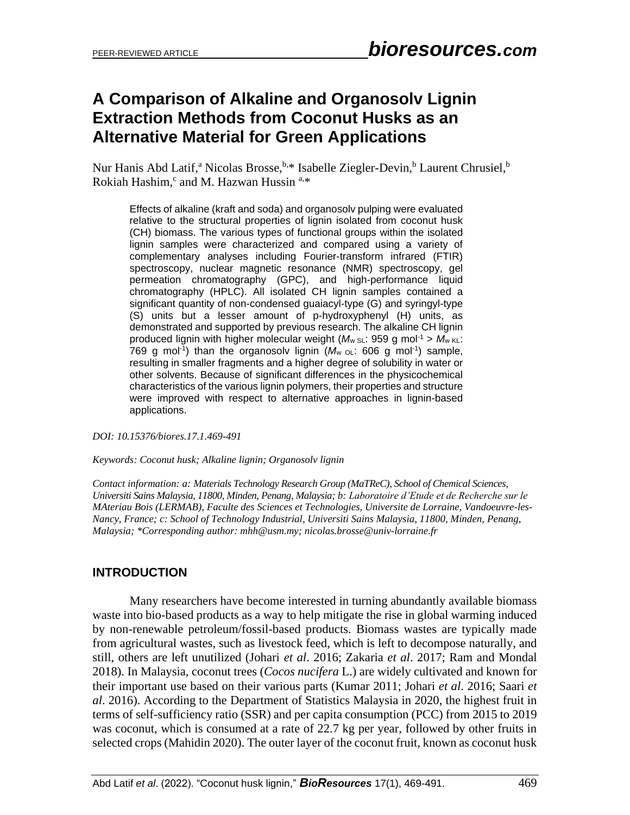# **A Comparison of Alkaline and Organosolv Lignin Extraction Methods from Coconut Husks as an Alternative Material for Green Applications**

Nur Hanis Abd Latif,<sup>a</sup> Nicolas Brosse, b.\* Isabelle Ziegler-Devin,<sup>b</sup> Laurent Chrusiel, <sup>b</sup> Rokiah Hashim,<sup>c</sup> and M. Hazwan Hussin<sup>a,\*</sup>

Effects of alkaline (kraft and soda) and organosolv pulping were evaluated relative to the structural properties of lignin isolated from coconut husk (CH) biomass. The various types of functional groups within the isolated lignin samples were characterized and compared using a variety of complementary analyses including Fourier-transform infrared (FTIR) spectroscopy, nuclear magnetic resonance (NMR) spectroscopy, gel permeation chromatography (GPC), and high-performance liquid chromatography (HPLC). All isolated CH lignin samples contained a significant quantity of non-condensed guaiacyl-type (G) and syringyl-type (S) units but a lesser amount of p-hydroxyphenyl (H) units, as demonstrated and supported by previous research. The alkaline CH lignin produced lignin with higher molecular weight ( $M_w$  sL: 959 g mol<sup>-1</sup> >  $M_w$  KL: 769 g mol<sup>-1</sup>) than the organosolv lignin  $(M_w \circ L: 606 \text{ g mol}^{-1})$  sample, resulting in smaller fragments and a higher degree of solubility in water or other solvents. Because of significant differences in the physicochemical characteristics of the various lignin polymers, their properties and structure were improved with respect to alternative approaches in lignin-based applications.

*DOI: 10.15376/biores.17.1.469-491*

*Keywords: Coconut husk; Alkaline lignin; Organosolv lignin*

*Contact information: a: Materials Technology Research Group (MaTReC), School of Chemical Sciences, Universiti Sains Malaysia, 11800, Minden, Penang, Malaysia; b: Laboratoire d'Etude et de Recherche sur le MAteriau Bois (LERMAB), Faculte des Sciences et Technologies, Universite de Lorraine, Vandoeuvre-les-Nancy, France; c: School of Technology Industrial, Universiti Sains Malaysia, 11800, Minden, Penang, Malaysia; \*Corresponding author[: mhh@usm.my;](mailto:mhh@usm.my) nicolas.brosse@univ-lorraine.fr*

# **INTRODUCTION**

Many researchers have become interested in turning abundantly available biomass waste into bio-based products as a way to help mitigate the rise in global warming induced by non-renewable petroleum/fossil-based products. Biomass wastes are typically made from agricultural wastes, such as livestock feed, which is left to decompose naturally, and still, others are left unutilized (Johari *et al*. 2016; Zakaria *et al*. 2017; Ram and Mondal 2018). In Malaysia, coconut trees (*Cocos nucifera* L.) are widely cultivated and known for their important use based on their various parts (Kumar 2011; Johari *et al*. 2016; Saari *et al*. 2016). According to the Department of Statistics Malaysia in 2020, the highest fruit in terms of self-sufficiency ratio (SSR) and per capita consumption (PCC) from 2015 to 2019 was coconut, which is consumed at a rate of 22.7 kg per year, followed by other fruits in selected crops (Mahidin 2020). The outer layer of the coconut fruit, known as coconut husk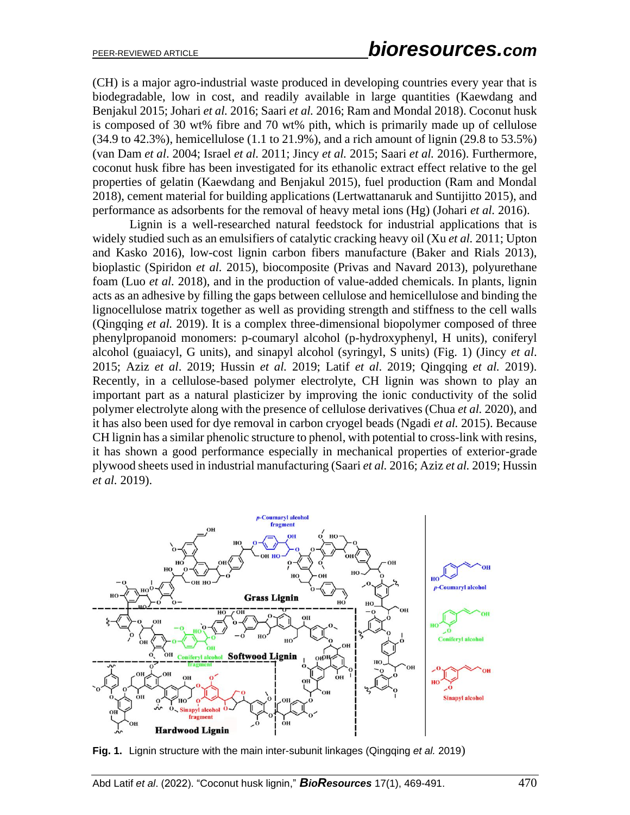(CH) is a major agro-industrial waste produced in developing countries every year that is biodegradable, low in cost, and readily available in large quantities (Kaewdang and Benjakul 2015; Johari *et al.* 2016; Saari *et al.* 2016; Ram and Mondal 2018). Coconut husk is composed of 30 wt% fibre and 70 wt% pith, which is primarily made up of cellulose (34.9 to 42.3%), hemicellulose (1.1 to 21.9%), and a rich amount of lignin (29.8 to 53.5%) (van Dam *et al*. 2004; Israel *et al.* 2011; Jincy *et al.* 2015; Saari *et al.* 2016). Furthermore, coconut husk fibre has been investigated for its ethanolic extract effect relative to the gel properties of gelatin (Kaewdang and Benjakul 2015), fuel production (Ram and Mondal 2018), cement material for building applications (Lertwattanaruk and Suntijitto 2015), and performance as adsorbents for the removal of heavy metal ions (Hg) (Johari *et al.* 2016).

Lignin is a well-researched natural feedstock for industrial applications that is widely studied such as an emulsifiers of catalytic cracking heavy oil (Xu *et al.* 2011; Upton and Kasko 2016), low-cost lignin carbon fibers manufacture (Baker and Rials 2013), bioplastic (Spiridon *et al.* 2015), biocomposite (Privas and Navard 2013), polyurethane foam (Luo *et al.* 2018), and in the production of value-added chemicals. In plants, lignin acts as an adhesive by filling the gaps between cellulose and hemicellulose and binding the lignocellulose matrix together as well as providing strength and stiffness to the cell walls (Qingqing *et al.* 2019). It is a complex three-dimensional biopolymer composed of three phenylpropanoid monomers: p-coumaryl alcohol (p-hydroxyphenyl, H units), coniferyl alcohol (guaiacyl, G units), and sinapyl alcohol (syringyl, S units) (Fig. 1) (Jincy *et al*. 2015; Aziz *et al*. 2019; Hussin *et al.* 2019; Latif *et al*. 2019; Qingqing *et al.* 2019). Recently, in a cellulose-based polymer electrolyte, CH lignin was shown to play an important part as a natural plasticizer by improving the ionic conductivity of the solid polymer electrolyte along with the presence of cellulose derivatives (Chua *et al.* 2020), and it has also been used for dye removal in carbon cryogel beads (Ngadi *et al.* 2015). Because CH lignin has a similar phenolic structure to phenol, with potential to cross-link with resins, it has shown a good performance especially in mechanical properties of exterior-grade plywood sheets used in industrial manufacturing (Saari *et al.* 2016; Aziz *et al.* 2019; Hussin *et al.* 2019).



**Fig. 1.** Lignin structure with the main inter-subunit linkages (Qingqing *et al.* 2019)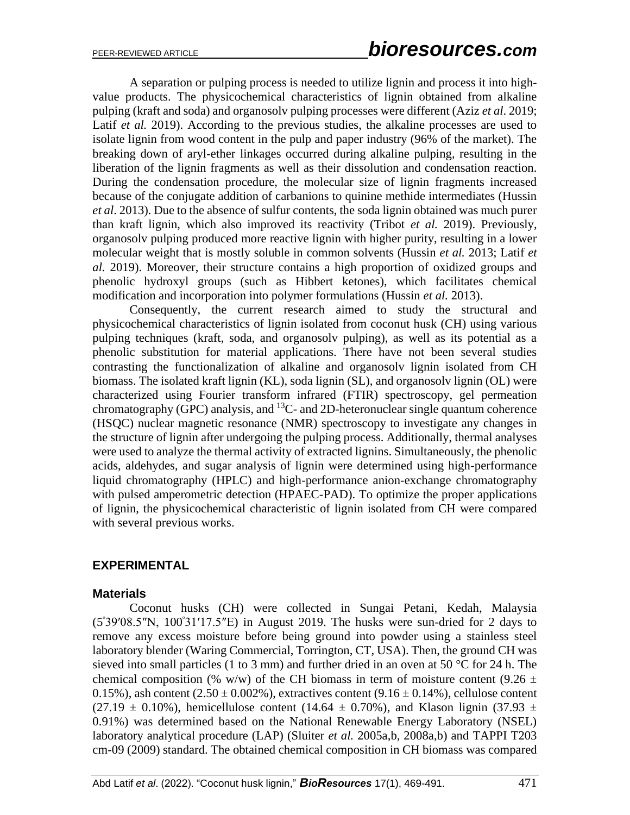A separation or pulping process is needed to utilize lignin and process it into highvalue products. The physicochemical characteristics of lignin obtained from alkaline pulping (kraft and soda) and organosolv pulping processes were different (Aziz *et al*. 2019; Latif *et al.* 2019). According to the previous studies, the alkaline processes are used to isolate lignin from wood content in the pulp and paper industry (96% of the market). The breaking down of aryl-ether linkages occurred during alkaline pulping, resulting in the liberation of the lignin fragments as well as their dissolution and condensation reaction. During the condensation procedure, the molecular size of lignin fragments increased because of the conjugate addition of carbanions to quinine methide intermediates (Hussin *et al*. 2013). Due to the absence of sulfur contents, the soda lignin obtained was much purer than kraft lignin, which also improved its reactivity (Tribot *et al.* 2019). Previously, organosolv pulping produced more reactive lignin with higher purity, resulting in a lower molecular weight that is mostly soluble in common solvents (Hussin *et al.* 2013; Latif *et al.* 2019). Moreover, their structure contains a high proportion of oxidized groups and phenolic hydroxyl groups (such as Hibbert ketones), which facilitates chemical modification and incorporation into polymer formulations (Hussin *et al.* 2013).

Consequently, the current research aimed to study the structural and physicochemical characteristics of lignin isolated from coconut husk (CH) using various pulping techniques (kraft, soda, and organosolv pulping), as well as its potential as a phenolic substitution for material applications. There have not been several studies contrasting the functionalization of alkaline and organosolv lignin isolated from CH biomass. The isolated kraft lignin (KL), soda lignin (SL), and organosolv lignin (OL) were characterized using Fourier transform infrared (FTIR) spectroscopy, gel permeation  $chromatography (GPC)$  analysis, and  ${}^{13}C$ - and 2D-heteronuclear single quantum coherence (HSQC) nuclear magnetic resonance (NMR) spectroscopy to investigate any changes in the structure of lignin after undergoing the pulping process. Additionally, thermal analyses were used to analyze the thermal activity of extracted lignins. Simultaneously, the phenolic acids, aldehydes, and sugar analysis of lignin were determined using high-performance liquid chromatography (HPLC) and high-performance anion-exchange chromatography with pulsed amperometric detection (HPAEC-PAD). To optimize the proper applications of lignin, the physicochemical characteristic of lignin isolated from CH were compared with several previous works.

# **EXPERIMENTAL**

# **Materials**

Coconut husks (CH) were collected in Sungai Petani, Kedah, Malaysia  $(5°39'08.5''N, 100°31'17.5''E)$  in August 2019. The husks were sun-dried for 2 days to remove any excess moisture before being ground into powder using a stainless steel laboratory blender (Waring Commercial, Torrington, CT, USA). Then, the ground CH was sieved into small particles (1 to 3 mm) and further dried in an oven at 50  $\degree$ C for 24 h. The chemical composition (% w/w) of the CH biomass in term of moisture content (9.26  $\pm$ 0.15%), ash content  $(2.50 \pm 0.002\%)$ , extractives content  $(9.16 \pm 0.14\%)$ , cellulose content  $(27.19 \pm 0.10\%)$ , hemicellulose content (14.64  $\pm$  0.70%), and Klason lignin (37.93  $\pm$ 0.91%) was determined based on the National Renewable Energy Laboratory (NSEL) laboratory analytical procedure (LAP) (Sluiter *et al.* 2005a,b, 2008a,b) and TAPPI T203 cm-09 (2009) standard. The obtained chemical composition in CH biomass was compared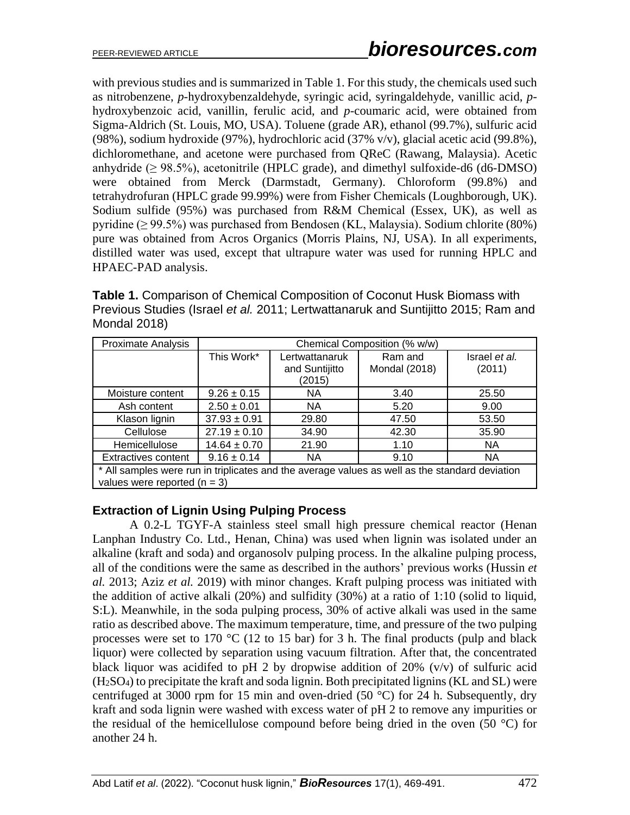with previous studies and is summarized in Table 1. For this study, the chemicals used such as nitrobenzene, *p*-hydroxybenzaldehyde, syringic acid, syringaldehyde, vanillic acid, *p*hydroxybenzoic acid, vanillin, ferulic acid, and *p*-coumaric acid, were obtained from Sigma-Aldrich (St. Louis, MO, USA). Toluene (grade AR), ethanol (99.7%), sulfuric acid (98%), sodium hydroxide (97%), hydrochloric acid (37% v/v), glacial acetic acid (99.8%), dichloromethane, and acetone were purchased from QReC (Rawang, Malaysia). Acetic anhydride  $(\geq 98.5\%)$ , acetonitrile (HPLC grade), and dimethyl sulfoxide-d6 (d6-DMSO) were obtained from Merck (Darmstadt, Germany). Chloroform (99.8%) and tetrahydrofuran (HPLC grade 99.99%) were from Fisher Chemicals (Loughborough, UK). Sodium sulfide (95%) was purchased from R&M Chemical (Essex, UK), as well as pyridine (≥ 99.5%) was purchased from Bendosen (KL, Malaysia). Sodium chlorite (80%) pure was obtained from Acros Organics (Morris Plains, NJ, USA). In all experiments, distilled water was used, except that ultrapure water was used for running HPLC and HPAEC-PAD analysis.

**Table 1.** Comparison of Chemical Composition of Coconut Husk Biomass with Previous Studies (Israel *et al.* 2011; Lertwattanaruk and Suntijitto 2015; Ram and Mondal 2018)

| Proximate Analysis                                                                             | Chemical Composition (% w/w) |                |               |               |  |
|------------------------------------------------------------------------------------------------|------------------------------|----------------|---------------|---------------|--|
|                                                                                                | This Work*                   | Lertwattanaruk | Ram and       | Israel et al. |  |
|                                                                                                |                              | and Suntijitto | Mondal (2018) | (2011)        |  |
|                                                                                                |                              | (2015)         |               |               |  |
| Moisture content                                                                               | $9.26 \pm 0.15$              | <b>NA</b>      | 3.40          | 25.50         |  |
| Ash content                                                                                    | $2.50 \pm 0.01$              | <b>NA</b>      | 5.20          | 9.00          |  |
| Klason lignin                                                                                  | $37.93 \pm 0.91$             | 29.80          | 47.50         | 53.50         |  |
| Cellulose                                                                                      | $27.19 \pm 0.10$             | 34.90          | 42.30         | 35.90         |  |
| Hemicellulose                                                                                  | $14.64 \pm 0.70$             | 21.90          | 1.10          | <b>NA</b>     |  |
| <b>Extractives content</b>                                                                     | $9.16 \pm 0.14$              | <b>NA</b>      | 9.10          | <b>NA</b>     |  |
| * All samples were run in triplicates and the average values as well as the standard deviation |                              |                |               |               |  |
| values were reported ( $n = 3$ )                                                               |                              |                |               |               |  |

# **Extraction of Lignin Using Pulping Process**

A 0.2-L TGYF-A stainless steel small high pressure chemical reactor (Henan Lanphan Industry Co. Ltd., Henan, China) was used when lignin was isolated under an alkaline (kraft and soda) and organosolv pulping process. In the alkaline pulping process, all of the conditions were the same as described in the authors' previous works (Hussin *et al.* 2013; Aziz *et al.* 2019) with minor changes. Kraft pulping process was initiated with the addition of active alkali (20%) and sulfidity (30%) at a ratio of 1:10 (solid to liquid, S:L). Meanwhile, in the soda pulping process, 30% of active alkali was used in the same ratio as described above. The maximum temperature, time, and pressure of the two pulping processes were set to 170  $\degree$ C (12 to 15 bar) for 3 h. The final products (pulp and black liquor) were collected by separation using vacuum filtration. After that, the concentrated black liquor was acidifed to pH 2 by dropwise addition of  $20\%$  (v/v) of sulfuric acid (H2SO4) to precipitate the kraft and soda lignin. Both precipitated lignins (KL and SL) were centrifuged at 3000 rpm for 15 min and oven-dried (50  $^{\circ}$ C) for 24 h. Subsequently, dry kraft and soda lignin were washed with excess water of pH 2 to remove any impurities or the residual of the hemicellulose compound before being dried in the oven (50 °C) for another 24 h.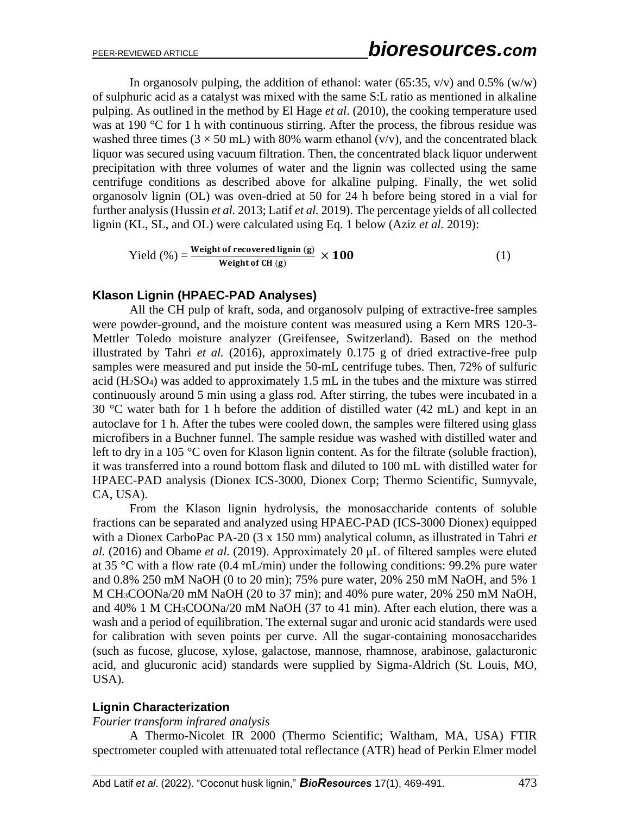In organosoly pulping, the addition of ethanol: water (65:35,  $v/v$ ) and 0.5% (w/w) of sulphuric acid as a catalyst was mixed with the same S:L ratio as mentioned in alkaline pulping. As outlined in the method by El Hage *et al*. (2010), the cooking temperature used was at 190 °C for 1 h with continuous stirring. After the process, the fibrous residue was washed three times ( $3 \times 50$  mL) with 80% warm ethanol (v/v), and the concentrated black liquor was secured using vacuum filtration. Then, the concentrated black liquor underwent precipitation with three volumes of water and the lignin was collected using the same centrifuge conditions as described above for alkaline pulping. Finally, the wet solid organosolv lignin (OL) was oven-dried at 50 for 24 h before being stored in a vial for further analysis (Hussin *et al.* 2013; Latif *et al.* 2019). The percentage yields of all collected lignin (KL, SL, and OL) were calculated using Eq. 1 below (Aziz *et al.* 2019):

Yield (%) = 
$$
\frac{\text{Weight of recovered lignin (g)}}{\text{Weight of CH (g)}} \times 100
$$
 (1)

### **Klason Lignin (HPAEC-PAD Analyses)**

All the CH pulp of kraft, soda, and organosolv pulping of extractive-free samples were powder-ground, and the moisture content was measured using a Kern MRS 120-3- Mettler Toledo moisture analyzer (Greifensee, Switzerland). Based on the method illustrated by Tahri *et al.* (2016), approximately 0.175 g of dried extractive-free pulp samples were measured and put inside the 50-mL centrifuge tubes. Then, 72% of sulfuric acid (H2SO4) was added to approximately 1.5 mL in the tubes and the mixture was stirred continuously around 5 min using a glass rod. After stirring, the tubes were incubated in a 30 °C water bath for 1 h before the addition of distilled water (42 mL) and kept in an autoclave for 1 h. After the tubes were cooled down, the samples were filtered using glass microfibers in a Buchner funnel. The sample residue was washed with distilled water and left to dry in a 105 °C oven for Klason lignin content. As for the filtrate (soluble fraction), it was transferred into a round bottom flask and diluted to 100 mL with distilled water for HPAEC-PAD analysis (Dionex ICS-3000, Dionex Corp; Thermo Scientific, Sunnyvale, CA, USA).

From the Klason lignin hydrolysis, the monosaccharide contents of soluble fractions can be separated and analyzed using HPAEC-PAD (ICS-3000 Dionex) equipped with a Dionex CarboPac PA-20 (3 x 150 mm) analytical column, as illustrated in Tahri *et al.* (2016) and Obame *et al.* (2019). Approximately 20 μL of filtered samples were eluted at 35 °C with a flow rate (0.4 mL/min) under the following conditions: 99.2% pure water and 0.8% 250 mM NaOH (0 to 20 min); 75% pure water, 20% 250 mM NaOH, and 5% 1 M CH3COONa/20 mM NaOH (20 to 37 min); and 40% pure water, 20% 250 mM NaOH, and 40% 1 M CH3COONa/20 mM NaOH (37 to 41 min). After each elution, there was a wash and a period of equilibration. The external sugar and uronic acid standards were used for calibration with seven points per curve. All the sugar-containing monosaccharides (such as fucose, glucose, xylose, galactose, mannose, rhamnose, arabinose, galacturonic acid, and glucuronic acid) standards were supplied by Sigma-Aldrich (St. Louis, MO, USA).

# **Lignin Characterization**

#### *Fourier transform infrared analysis*

A Thermo-Nicolet IR 2000 (Thermo Scientific; Waltham, MA, USA) FTIR spectrometer coupled with attenuated total reflectance (ATR) head of Perkin Elmer model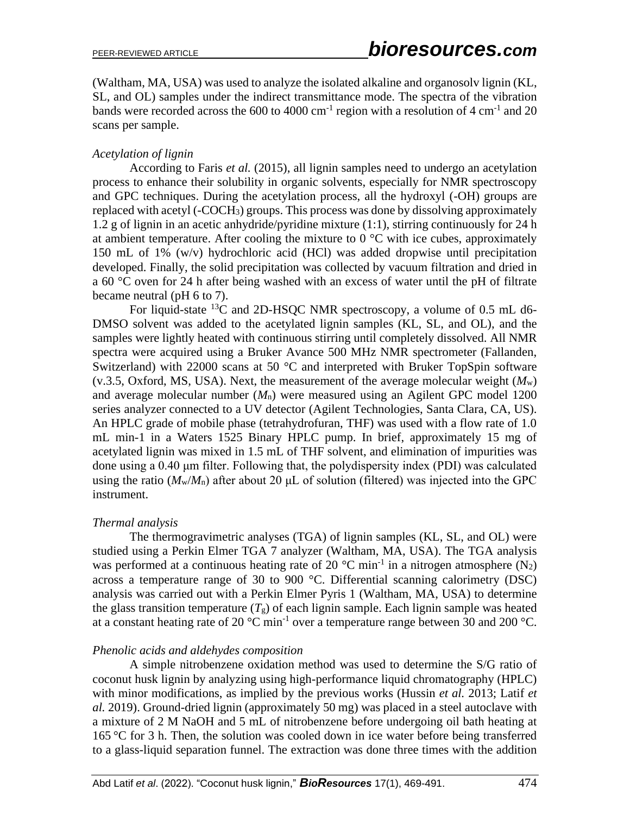(Waltham, MA, USA) was used to analyze the isolated alkaline and organosolv lignin (KL, SL, and OL) samples under the indirect transmittance mode. The spectra of the vibration bands were recorded across the 600 to 4000 cm<sup>-1</sup> region with a resolution of 4 cm<sup>-1</sup> and 20 scans per sample.

#### *Acetylation of lignin*

According to Faris *et al.* (2015), all lignin samples need to undergo an acetylation process to enhance their solubility in organic solvents, especially for NMR spectroscopy and GPC techniques. During the acetylation process, all the hydroxyl (-OH) groups are replaced with acetyl (-COCH3) groups. This process was done by dissolving approximately 1.2 g of lignin in an acetic anhydride/pyridine mixture (1:1), stirring continuously for 24 h at ambient temperature. After cooling the mixture to  $0^{\circ}$ C with ice cubes, approximately 150 mL of 1% (w/v) hydrochloric acid (HCl) was added dropwise until precipitation developed. Finally, the solid precipitation was collected by vacuum filtration and dried in a 60 °C oven for 24 h after being washed with an excess of water until the pH of filtrate became neutral (pH 6 to 7).

For liquid-state  $^{13}$ C and 2D-HSQC NMR spectroscopy, a volume of 0.5 mL d6-DMSO solvent was added to the acetylated lignin samples (KL, SL, and OL), and the samples were lightly heated with continuous stirring until completely dissolved. All NMR spectra were acquired using a Bruker Avance 500 MHz NMR spectrometer (Fallanden, Switzerland) with 22000 scans at 50 °C and interpreted with Bruker TopSpin software  $(v.3.5, Oxford, MS, USA)$ . Next, the measurement of the average molecular weight  $(M_w)$ and average molecular number (*M*n) were measured using an Agilent GPC model 1200 series analyzer connected to a UV detector (Agilent Technologies, Santa Clara, CA, US). An HPLC grade of mobile phase (tetrahydrofuran, THF) was used with a flow rate of 1.0 mL min-1 in a Waters 1525 Binary HPLC pump. In brief, approximately 15 mg of acetylated lignin was mixed in 1.5 mL of THF solvent, and elimination of impurities was done using a 0.40 μm filter. Following that, the polydispersity index (PDI) was calculated using the ratio  $(M_w/M_n)$  after about 20  $\mu$ L of solution (filtered) was injected into the GPC instrument.

#### *Thermal analysis*

The thermogravimetric analyses (TGA) of lignin samples (KL, SL, and OL) were studied using a Perkin Elmer TGA 7 analyzer (Waltham, MA, USA). The TGA analysis was performed at a continuous heating rate of 20  $^{\circ}$ C min<sup>-1</sup> in a nitrogen atmosphere (N<sub>2</sub>) across a temperature range of 30 to 900 °C. Differential scanning calorimetry (DSC) analysis was carried out with a Perkin Elmer Pyris 1 (Waltham, MA, USA) to determine the glass transition temperature  $(T_g)$  of each lignin sample. Each lignin sample was heated at a constant heating rate of 20  $^{\circ}$ C min<sup>-1</sup> over a temperature range between 30 and 200  $^{\circ}$ C.

#### *Phenolic acids and aldehydes composition*

A simple nitrobenzene oxidation method was used to determine the S/G ratio of coconut husk lignin by analyzing using high-performance liquid chromatography (HPLC) with minor modifications, as implied by the previous works (Hussin *et al.* 2013; Latif *et al.* 2019). Ground-dried lignin (approximately 50 mg) was placed in a steel autoclave with a mixture of 2 M NaOH and 5 mL of nitrobenzene before undergoing oil bath heating at 165 °C for 3 h. Then, the solution was cooled down in ice water before being transferred to a glass-liquid separation funnel. The extraction was done three times with the addition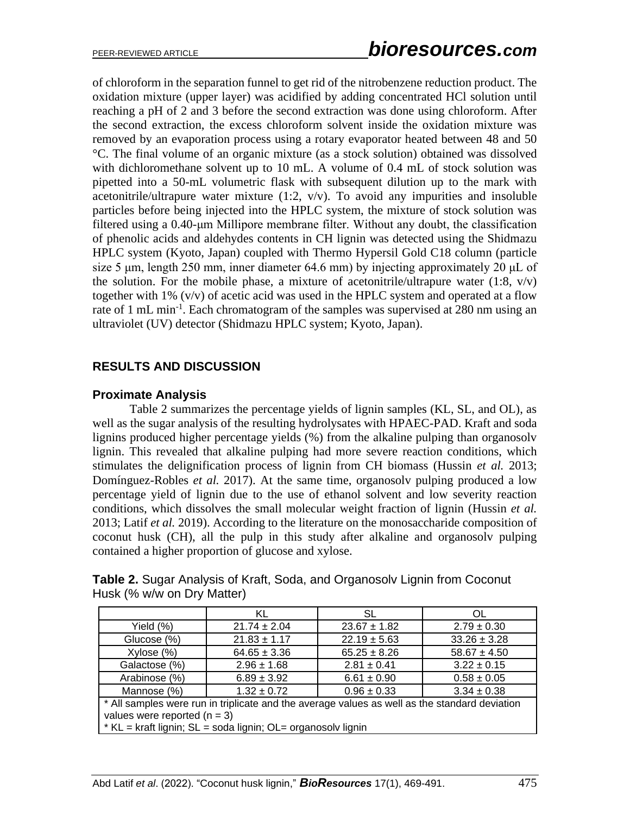of chloroform in the separation funnel to get rid of the nitrobenzene reduction product. The oxidation mixture (upper layer) was acidified by adding concentrated HCl solution until reaching a pH of 2 and 3 before the second extraction was done using chloroform. After the second extraction, the excess chloroform solvent inside the oxidation mixture was removed by an evaporation process using a rotary evaporator heated between 48 and 50 °C. The final volume of an organic mixture (as a stock solution) obtained was dissolved with dichloromethane solvent up to 10 mL. A volume of 0.4 mL of stock solution was pipetted into a 50-mL volumetric flask with subsequent dilution up to the mark with acetonitrile/ultrapure water mixture  $(1:2, v/v)$ . To avoid any impurities and insoluble particles before being injected into the HPLC system, the mixture of stock solution was filtered using a 0.40-μm Millipore membrane filter. Without any doubt, the classification of phenolic acids and aldehydes contents in CH lignin was detected using the Shidmazu HPLC system (Kyoto, Japan) coupled with Thermo Hypersil Gold C18 column (particle size 5 μm, length 250 mm, inner diameter 64.6 mm) by injecting approximately 20 μL of the solution. For the mobile phase, a mixture of acetonitrile/ultrapure water  $(1:8, v/v)$ together with 1% (v/v) of acetic acid was used in the HPLC system and operated at a flow rate of 1 mL min<sup>-1</sup>. Each chromatogram of the samples was supervised at 280 nm using an ultraviolet (UV) detector (Shidmazu HPLC system; Kyoto, Japan).

# **RESULTS AND DISCUSSION**

### **Proximate Analysis**

Table 2 summarizes the percentage yields of lignin samples (KL, SL, and OL), as well as the sugar analysis of the resulting hydrolysates with HPAEC-PAD. Kraft and soda lignins produced higher percentage yields (%) from the alkaline pulping than organosolv lignin. This revealed that alkaline pulping had more severe reaction conditions, which stimulates the delignification process of lignin from CH biomass (Hussin *et al.* 2013; Domínguez-Robles *et al.* 2017). At the same time, organosolv pulping produced a low percentage yield of lignin due to the use of ethanol solvent and low severity reaction conditions, which dissolves the small molecular weight fraction of lignin (Hussin *et al.* 2013; Latif *et al.* 2019). According to the literature on the monosaccharide composition of coconut husk (CH), all the pulp in this study after alkaline and organosolv pulping contained a higher proportion of glucose and xylose.

**Table 2.** Sugar Analysis of Kraft, Soda, and Organosolv Lignin from Coconut Husk (% w/w on Dry Matter)

|                                                                                                                                                                                                 | KL                                                    | SL               | OL               |  |  |
|-------------------------------------------------------------------------------------------------------------------------------------------------------------------------------------------------|-------------------------------------------------------|------------------|------------------|--|--|
| Yield $(\%)$                                                                                                                                                                                    | $21.74 \pm 2.04$                                      | $23.67 \pm 1.82$ | $2.79 \pm 0.30$  |  |  |
| Glucose (%)                                                                                                                                                                                     | $21.83 \pm 1.17$                                      | $22.19 \pm 5.63$ | $33.26 \pm 3.28$ |  |  |
| Xylose (%)                                                                                                                                                                                      | $64.65 \pm 3.36$                                      | $65.25 \pm 8.26$ | $58.67 \pm 4.50$ |  |  |
| Galactose (%)                                                                                                                                                                                   | $2.96 \pm 1.68$                                       | $2.81 \pm 0.41$  | $3.22 \pm 0.15$  |  |  |
| Arabinose (%)                                                                                                                                                                                   | $6.89 \pm 3.92$                                       | $6.61 \pm 0.90$  | $0.58 \pm 0.05$  |  |  |
| Mannose (%)                                                                                                                                                                                     | $0.96 \pm 0.33$<br>$1.32 \pm 0.72$<br>$3.34 \pm 0.38$ |                  |                  |  |  |
| * All samples were run in triplicate and the average values as well as the standard deviation<br>values were reported $(n = 3)$<br>* KL = kraft lignin; SL = soda lignin; OL= organosolv lignin |                                                       |                  |                  |  |  |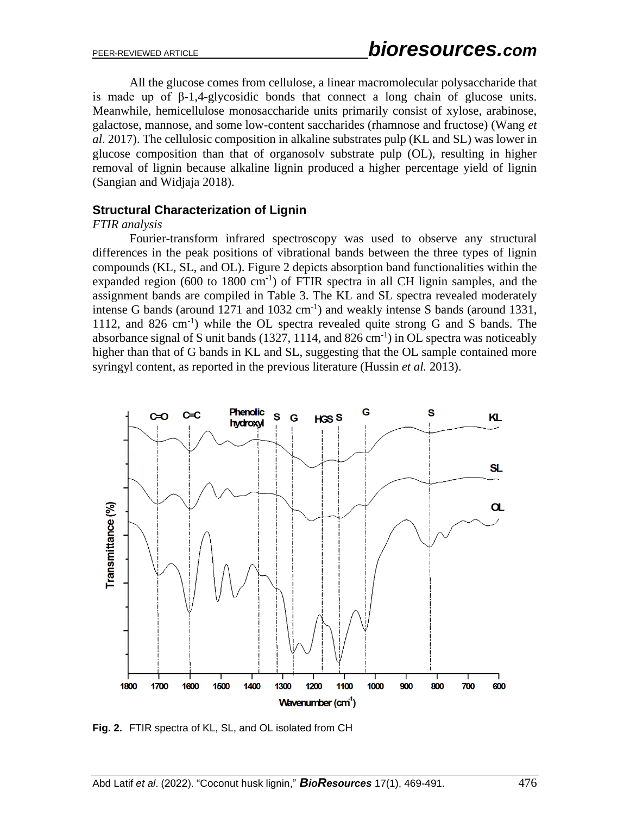All the glucose comes from cellulose, a linear macromolecular polysaccharide that is made up of β-1,4-glycosidic bonds that connect a long chain of glucose units. Meanwhile, hemicellulose monosaccharide units primarily consist of xylose, arabinose, galactose, mannose, and some low-content saccharides (rhamnose and fructose) (Wang *et al*. 2017). The cellulosic composition in alkaline substrates pulp (KL and SL) was lower in glucose composition than that of organosolv substrate pulp (OL), resulting in higher removal of lignin because alkaline lignin produced a higher percentage yield of lignin (Sangian and Widjaja 2018).

### **Structural Characterization of Lignin**

#### *FTIR analysis*

Fourier-transform infrared spectroscopy was used to observe any structural differences in the peak positions of vibrational bands between the three types of lignin compounds (KL, SL, and OL). Figure 2 depicts absorption band functionalities within the expanded region  $(600 \text{ to } 1800 \text{ cm}^{-1})$  of FTIR spectra in all CH lignin samples, and the assignment bands are compiled in Table 3. The KL and SL spectra revealed moderately intense G bands (around  $1271$  and  $1032 \text{ cm}^{-1}$ ) and weakly intense S bands (around 1331, 1112, and 826 cm<sup>-1</sup>) while the OL spectra revealed quite strong G and S bands. The absorbance signal of S unit bands (1327, 1114, and 826 cm<sup>-1</sup>) in OL spectra was noticeably higher than that of G bands in KL and SL, suggesting that the OL sample contained more syringyl content, as reported in the previous literature (Hussin *et al.* 2013).



**Fig. 2.** FTIR spectra of KL, SL, and OL isolated from CH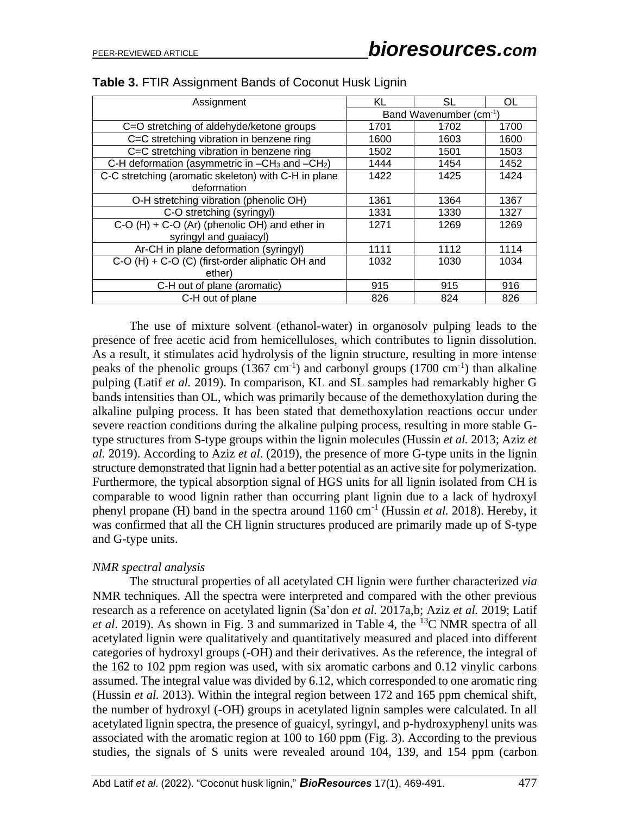| Assignment                                           | KL                                  | SL   | OL   |
|------------------------------------------------------|-------------------------------------|------|------|
|                                                      | Band Wavenumber (cm <sup>-1</sup> ) |      |      |
| C=O stretching of aldehyde/ketone groups             | 1701                                | 1702 | 1700 |
| C=C stretching vibration in benzene ring             | 1600                                | 1603 | 1600 |
| C=C stretching vibration in benzene ring             | 1502                                | 1501 | 1503 |
| C-H deformation (asymmetric in $-CH_3$ and $-CH_2$ ) | 1444                                | 1454 | 1452 |
| C-C stretching (aromatic skeleton) with C-H in plane | 1422                                | 1425 | 1424 |
| deformation                                          |                                     |      |      |
| O-H stretching vibration (phenolic OH)               | 1361                                | 1364 | 1367 |
| C-O stretching (syringyl)                            | 1331                                | 1330 | 1327 |
| $C-O$ (H) + $C-O$ (Ar) (phenolic OH) and ether in    | 1271                                | 1269 | 1269 |
| syringyl and guaiacyl)                               |                                     |      |      |
| Ar-CH in plane deformation (syringyl)                | 1111                                | 1112 | 1114 |
| C-O (H) + C-O (C) (first-order aliphatic OH and      | 1032                                | 1030 | 1034 |
| ether)                                               |                                     |      |      |
| C-H out of plane (aromatic)                          | 915                                 | 915  | 916  |
| C-H out of plane                                     | 826                                 | 824  | 826  |

|  |  | Table 3. FTIR Assignment Bands of Coconut Husk Lignin |  |
|--|--|-------------------------------------------------------|--|
|--|--|-------------------------------------------------------|--|

The use of mixture solvent (ethanol-water) in organosolv pulping leads to the presence of free acetic acid from hemicelluloses, which contributes to lignin dissolution. As a result, it stimulates acid hydrolysis of the lignin structure, resulting in more intense peaks of the phenolic groups  $(1367 \text{ cm}^{-1})$  and carbonyl groups  $(1700 \text{ cm}^{-1})$  than alkaline pulping (Latif *et al.* 2019). In comparison, KL and SL samples had remarkably higher G bands intensities than OL, which was primarily because of the demethoxylation during the alkaline pulping process. It has been stated that demethoxylation reactions occur under severe reaction conditions during the alkaline pulping process, resulting in more stable Gtype structures from S-type groups within the lignin molecules (Hussin *et al.* 2013; Aziz *et al.* 2019). According to Aziz *et al*. (2019), the presence of more G-type units in the lignin structure demonstrated that lignin had a better potential as an active site for polymerization. Furthermore, the typical absorption signal of HGS units for all lignin isolated from CH is comparable to wood lignin rather than occurring plant lignin due to a lack of hydroxyl phenyl propane (H) band in the spectra around 1160 cm-1 (Hussin *et al.* 2018). Hereby, it was confirmed that all the CH lignin structures produced are primarily made up of S-type and G-type units.

#### *NMR spectral analysis*

The structural properties of all acetylated CH lignin were further characterized *via* NMR techniques. All the spectra were interpreted and compared with the other previous research as a reference on acetylated lignin (Sa'don *et al.* 2017a,b; Aziz *et al.* 2019; Latif *et al.* 2019). As shown in Fig. 3 and summarized in Table 4, the <sup>13</sup>C NMR spectra of all acetylated lignin were qualitatively and quantitatively measured and placed into different categories of hydroxyl groups (-OH) and their derivatives. As the reference, the integral of the 162 to 102 ppm region was used, with six aromatic carbons and 0.12 vinylic carbons assumed. The integral value was divided by 6.12, which corresponded to one aromatic ring (Hussin *et al.* 2013). Within the integral region between 172 and 165 ppm chemical shift, the number of hydroxyl (-OH) groups in acetylated lignin samples were calculated. In all acetylated lignin spectra, the presence of guaicyl, syringyl, and p-hydroxyphenyl units was associated with the aromatic region at 100 to 160 ppm (Fig. 3). According to the previous studies, the signals of S units were revealed around 104, 139, and 154 ppm (carbon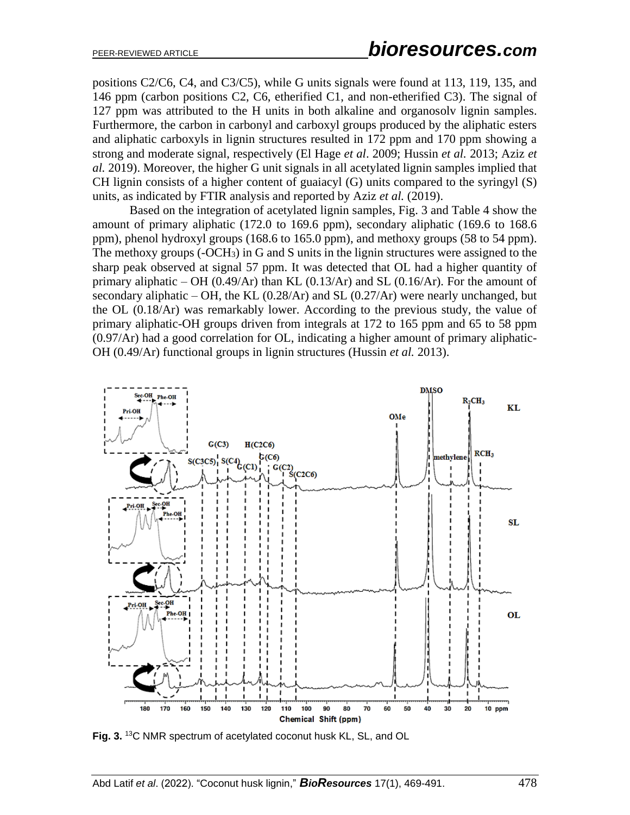positions C2/C6, C4, and C3/C5), while G units signals were found at 113, 119, 135, and 146 ppm (carbon positions C2, C6, etherified C1, and non-etherified C3). The signal of 127 ppm was attributed to the H units in both alkaline and organosolv lignin samples. Furthermore, the carbon in carbonyl and carboxyl groups produced by the aliphatic esters and aliphatic carboxyls in lignin structures resulted in 172 ppm and 170 ppm showing a strong and moderate signal, respectively (El Hage *et al*. 2009; Hussin *et al.* 2013; Aziz *et al.* 2019). Moreover, the higher G unit signals in all acetylated lignin samples implied that CH lignin consists of a higher content of guaiacyl (G) units compared to the syringyl (S) units, as indicated by FTIR analysis and reported by Aziz *et al.* (2019).

Based on the integration of acetylated lignin samples, Fig. 3 and Table 4 show the amount of primary aliphatic (172.0 to 169.6 ppm), secondary aliphatic (169.6 to 168.6 ppm), phenol hydroxyl groups (168.6 to 165.0 ppm), and methoxy groups (58 to 54 ppm). The methoxy groups (-OCH3) in G and S units in the lignin structures were assigned to the sharp peak observed at signal 57 ppm. It was detected that OL had a higher quantity of primary aliphatic – OH (0.49/Ar) than KL (0.13/Ar) and SL (0.16/Ar). For the amount of secondary aliphatic – OH, the KL  $(0.28/Ar)$  and SL  $(0.27/Ar)$  were nearly unchanged, but the OL (0.18/Ar) was remarkably lower. According to the previous study, the value of primary aliphatic-OH groups driven from integrals at 172 to 165 ppm and 65 to 58 ppm (0.97/Ar) had a good correlation for OL, indicating a higher amount of primary aliphatic-OH (0.49/Ar) functional groups in lignin structures (Hussin *et al.* 2013).



**Fig. 3.** <sup>13</sup>C NMR spectrum of acetylated coconut husk KL, SL, and OL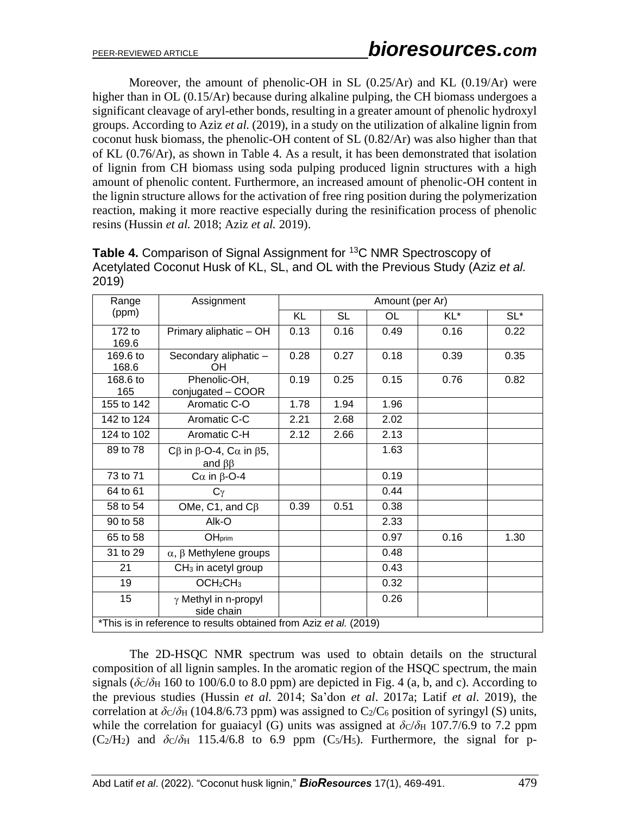Moreover, the amount of phenolic-OH in SL (0.25/Ar) and KL (0.19/Ar) were higher than in OL (0.15/Ar) because during alkaline pulping, the CH biomass undergoes a significant cleavage of aryl-ether bonds, resulting in a greater amount of phenolic hydroxyl groups. According to Aziz *et al.* (2019), in a study on the utilization of alkaline lignin from coconut husk biomass, the phenolic-OH content of SL (0.82/Ar) was also higher than that of KL (0.76/Ar), as shown in Table 4. As a result, it has been demonstrated that isolation of lignin from CH biomass using soda pulping produced lignin structures with a high amount of phenolic content. Furthermore, an increased amount of phenolic-OH content in the lignin structure allows for the activation of free ring position during the polymerization reaction, making it more reactive especially during the resinification process of phenolic resins (Hussin *et al.* 2018; Aziz *et al.* 2019).

| Range                                                             | Assignment                                                            | Amount (per Ar) |           |           |      |        |
|-------------------------------------------------------------------|-----------------------------------------------------------------------|-----------------|-----------|-----------|------|--------|
| (ppm)                                                             |                                                                       | KL              | <b>SL</b> | <b>OL</b> | KL*  | $SL^*$ |
| $172$ to<br>169.6                                                 | Primary aliphatic - OH                                                | 0.13            | 0.16      | 0.49      | 0.16 | 0.22   |
| 169.6 to<br>168.6                                                 | Secondary aliphatic -<br>OН                                           | 0.28            | 0.27      | 0.18      | 0.39 | 0.35   |
| 168.6 to<br>165                                                   | Phenolic-OH,<br>conjugated - COOR                                     | 0.19            | 0.25      | 0.15      | 0.76 | 0.82   |
| 155 to 142                                                        | Aromatic C-O                                                          | 1.78            | 1.94      | 1.96      |      |        |
| 142 to 124                                                        | Aromatic C-C                                                          | 2.21            | 2.68      | 2.02      |      |        |
| 124 to 102                                                        | Aromatic C-H                                                          | 2.12            | 2.66      | 2.13      |      |        |
| 89 to 78                                                          | $C\beta$ in $\beta$ -O-4, $C\alpha$ in $\beta$ 5,<br>and $\beta\beta$ |                 |           | 1.63      |      |        |
| 73 to 71                                                          | $C\alpha$ in $\beta$ -O-4                                             |                 |           | 0.19      |      |        |
| 64 to 61                                                          | $C_{\gamma}$                                                          |                 |           | 0.44      |      |        |
| 58 to 54                                                          | OMe, C1, and $C\beta$                                                 | 0.39            | 0.51      | 0.38      |      |        |
| 90 to 58                                                          | Alk-O                                                                 |                 |           | 2.33      |      |        |
| 65 to 58                                                          | OH <sub>prim</sub>                                                    |                 |           | 0.97      | 0.16 | 1.30   |
| 31 to 29                                                          | $\alpha$ , $\beta$ Methylene groups                                   |                 |           | 0.48      |      |        |
| 21                                                                | CH <sub>3</sub> in acetyl group                                       |                 |           | 0.43      |      |        |
| 19                                                                | OCH <sub>2</sub> CH <sub>3</sub>                                      |                 |           | 0.32      |      |        |
| 15                                                                | $\gamma$ Methyl in n-propyl<br>side chain                             |                 |           | 0.26      |      |        |
| *This is in reference to results obtained from Aziz et al. (2019) |                                                                       |                 |           |           |      |        |

**Table 4.** Comparison of Signal Assignment for <sup>13</sup>C NMR Spectroscopy of Acetylated Coconut Husk of KL, SL, and OL with the Previous Study (Aziz *et al.* 2019)

The 2D-HSQC NMR spectrum was used to obtain details on the structural composition of all lignin samples. In the aromatic region of the HSQC spectrum, the main signals ( $\delta c/\delta H$  160 to 100/6.0 to 8.0 ppm) are depicted in Fig. 4 (a, b, and c). According to the previous studies (Hussin *et al.* 2014; Sa'don *et al*. 2017a; Latif *et al*. 2019), the correlation at  $\delta$ <sub>C</sub>/ $\delta$ <sub>H</sub> (104.8/6.73 ppm) was assigned to C<sub>2</sub>/C<sub>6</sub> position of syringyl (S) units, while the correlation for guaiacyl (G) units was assigned at  $\delta c/\delta H$  107.7/6.9 to 7.2 ppm  $(C_2/H_2)$  and  $\delta C/\delta H$  115.4/6.8 to 6.9 ppm  $(C_5/H_5)$ . Furthermore, the signal for p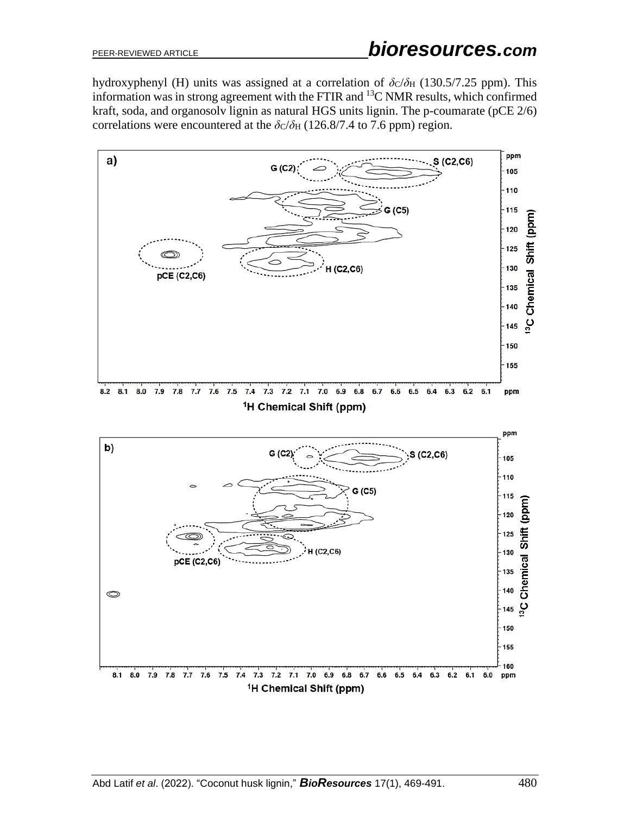hydroxyphenyl (H) units was assigned at a correlation of  $\delta$ c/ $\delta$ <sub>H</sub> (130.5/7.25 ppm). This information was in strong agreement with the FTIR and  $^{13}$ C NMR results, which confirmed kraft, soda, and organosolv lignin as natural HGS units lignin. The p-coumarate (pCE 2/6) correlations were encountered at the  $\delta c/\delta H$  (126.8/7.4 to 7.6 ppm) region.

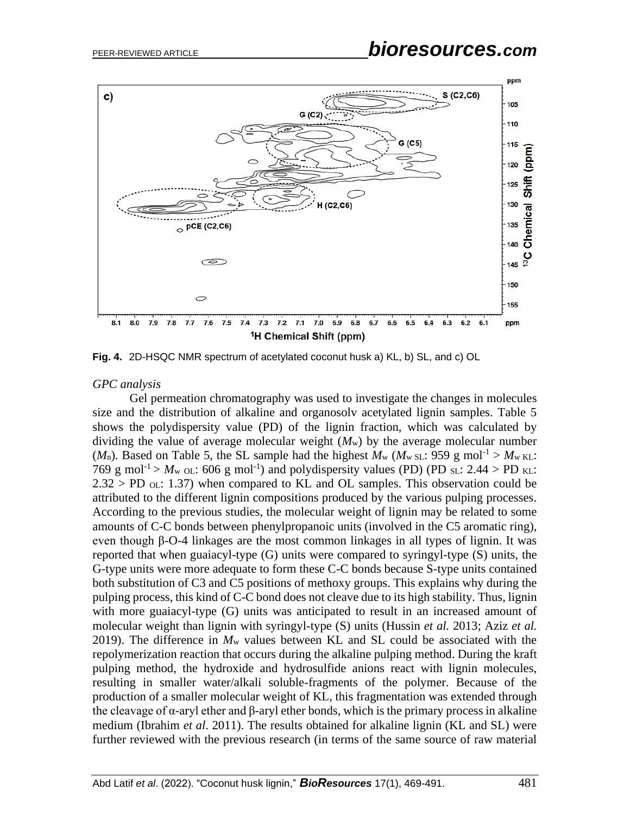

**Fig. 4.** 2D-HSQC NMR spectrum of acetylated coconut husk a) KL, b) SL, and c) OL

#### *GPC analysis*

Gel permeation chromatography was used to investigate the changes in molecules size and the distribution of alkaline and organosolv acetylated lignin samples. Table 5 shows the polydispersity value (PD) of the lignin fraction, which was calculated by dividing the value of average molecular weight (*M*w) by the average molecular number ( $M_n$ ). Based on Table 5, the SL sample had the highest  $M_w$  ( $M_{w \text{ SL}}$ : 959 g mol<sup>-1</sup> >  $M_{w \text{ KL}}$ ): 769 g mol<sup>-1</sup> >  $M_{\text{w}}$  ol: 606 g mol<sup>-1</sup>) and polydispersity values (PD) (PD sl: 2.44 > PD kl:  $2.32 > PD$  ol. 1.37) when compared to KL and OL samples. This observation could be attributed to the different lignin compositions produced by the various pulping processes. According to the previous studies, the molecular weight of lignin may be related to some amounts of C-C bonds between phenylpropanoic units (involved in the C5 aromatic ring), even though β-O-4 linkages are the most common linkages in all types of lignin. It was reported that when guaiacyl-type (G) units were compared to syringyl-type (S) units, the G-type units were more adequate to form these C-C bonds because S-type units contained both substitution of C3 and C5 positions of methoxy groups. This explains why during the pulping process, this kind of C-C bond does not cleave due to its high stability. Thus, lignin with more guaiacyl-type (G) units was anticipated to result in an increased amount of molecular weight than lignin with syringyl-type (S) units (Hussin *et al.* 2013; Aziz *et al.* 2019). The difference in *M*<sup>w</sup> values between KL and SL could be associated with the repolymerization reaction that occurs during the alkaline pulping method. During the kraft pulping method, the hydroxide and hydrosulfide anions react with lignin molecules, resulting in smaller water/alkali soluble-fragments of the polymer. Because of the production of a smaller molecular weight of KL, this fragmentation was extended through the cleavage of α-aryl ether and β-aryl ether bonds, which is the primary process in alkaline medium (Ibrahim *et al*. 2011). The results obtained for alkaline lignin (KL and SL) were further reviewed with the previous research (in terms of the same source of raw material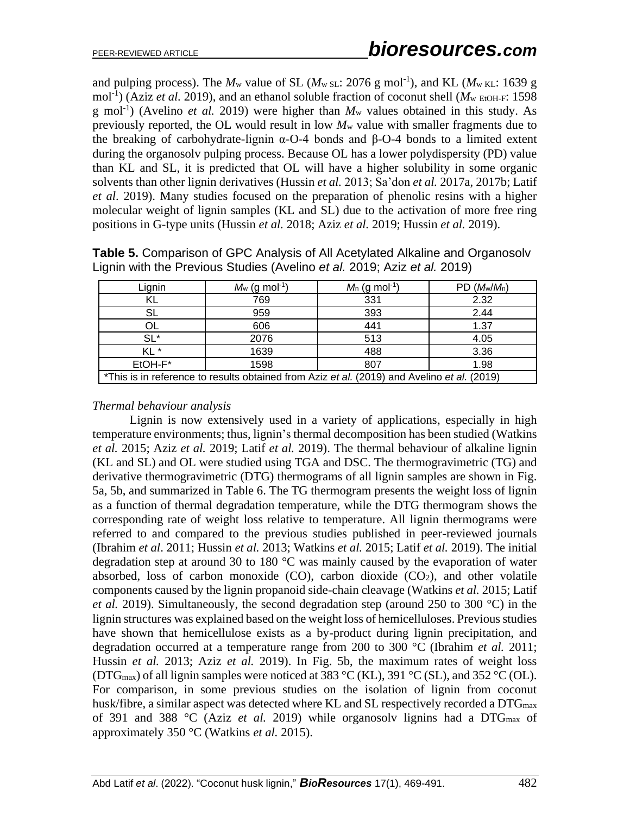and pulping process). The  $M_w$  value of SL ( $M_w$  sL: 2076 g mol<sup>-1</sup>), and KL ( $M_w$  kL: 1639 g mol<sup>-1</sup>) (Aziz *et al.* 2019), and an ethanol soluble fraction of coconut shell ( $M<sub>w</sub>$  EtOH-F: 1598 g mol<sup>-1</sup>) (Avelino *et al.* 2019) were higher than  $M_w$  values obtained in this study. As previously reported, the OL would result in low *M*<sup>w</sup> value with smaller fragments due to the breaking of carbohydrate-lignin  $\alpha$ -O-4 bonds and  $\beta$ -O-4 bonds to a limited extent during the organosolv pulping process. Because OL has a lower polydispersity (PD) value than KL and SL, it is predicted that OL will have a higher solubility in some organic solvents than other lignin derivatives (Hussin *et al.* 2013; Sa'don *et al.* 2017a, 2017b; Latif *et al*. 2019). Many studies focused on the preparation of phenolic resins with a higher molecular weight of lignin samples (KL and SL) due to the activation of more free ring positions in G-type units (Hussin *et al.* 2018; Aziz *et al.* 2019; Hussin *et al.* 2019).

| Lignin                                                                                      | $M_{\rm w}$ (g mol <sup>-1</sup> ) | $M_n$ (g mol <sup>-1</sup> ) | $PD$ $(M_w/M_n)$ |  |
|---------------------------------------------------------------------------------------------|------------------------------------|------------------------------|------------------|--|
|                                                                                             | 769                                | 331                          | 2.32             |  |
|                                                                                             | 959                                | 393                          | 2.44             |  |
|                                                                                             | 606                                | 441                          | 1.37             |  |
| $SL^*$                                                                                      | 2076                               | 513                          | 4.05             |  |
| KL <sup>*</sup>                                                                             | 1639                               | 488                          | 3.36             |  |
| EtOH-F*                                                                                     | 1598                               | 807                          | 1.98             |  |
| *This is in reference to results obtained from Aziz et al. (2019) and Avelino et al. (2019) |                                    |                              |                  |  |

**Table 5.** Comparison of GPC Analysis of All Acetylated Alkaline and Organosolv Lignin with the Previous Studies (Avelino *et al.* 2019; Aziz *et al.* 2019)

#### *Thermal behaviour analysis*

Lignin is now extensively used in a variety of applications, especially in high temperature environments; thus, lignin's thermal decomposition has been studied (Watkins *et al.* 2015; Aziz *et al.* 2019; Latif *et al.* 2019). The thermal behaviour of alkaline lignin (KL and SL) and OL were studied using TGA and DSC. The thermogravimetric (TG) and derivative thermogravimetric (DTG) thermograms of all lignin samples are shown in Fig. 5a, 5b, and summarized in Table 6. The TG thermogram presents the weight loss of lignin as a function of thermal degradation temperature, while the DTG thermogram shows the corresponding rate of weight loss relative to temperature. All lignin thermograms were referred to and compared to the previous studies published in peer-reviewed journals (Ibrahim *et al*. 2011; Hussin *et al.* 2013; Watkins *et al.* 2015; Latif *et al.* 2019). The initial degradation step at around 30 to 180 °C was mainly caused by the evaporation of water absorbed, loss of carbon monoxide  $(CO)$ , carbon dioxide  $(CO<sub>2</sub>)$ , and other volatile components caused by the lignin propanoid side-chain cleavage (Watkins *et al.* 2015; Latif *et al.* 2019). Simultaneously, the second degradation step (around 250 to 300 °C) in the lignin structures was explained based on the weight loss of hemicelluloses. Previous studies have shown that hemicellulose exists as a by-product during lignin precipitation, and degradation occurred at a temperature range from 200 to 300 °C (Ibrahim *et al.* 2011; Hussin *et al.* 2013; Aziz *et al.* 2019). In Fig. 5b, the maximum rates of weight loss (DTG<sub>max</sub>) of all lignin samples were noticed at 383 °C (KL), 391 °C (SL), and 352 °C (OL). For comparison, in some previous studies on the isolation of lignin from coconut husk/fibre, a similar aspect was detected where KL and SL respectively recorded a DTG<sub>max</sub> of 391 and 388 °C (Aziz *et al.* 2019) while organosolv lignins had a DTGmax of approximately 350 °C (Watkins *et al.* 2015).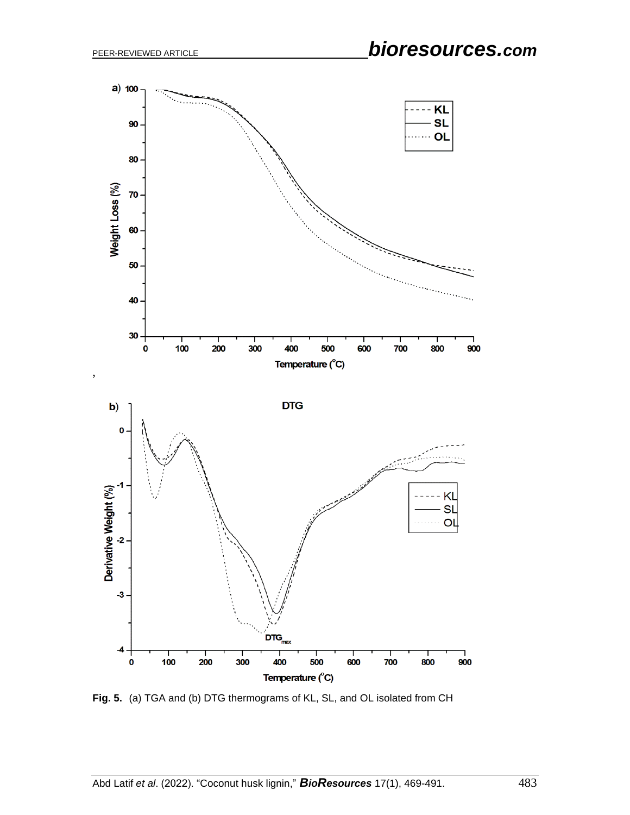

**Fig. 5.** (a) TGA and (b) DTG thermograms of KL, SL, and OL isolated from CH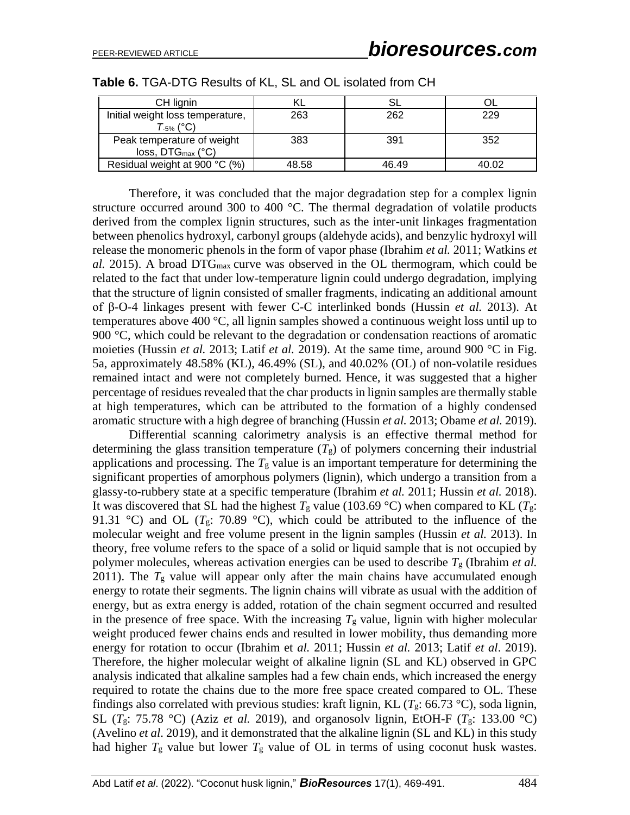| CH lignin                        |       |       |       |
|----------------------------------|-------|-------|-------|
| Initial weight loss temperature, | 263   | 262   | 229   |
| T <sub>-5%</sub> (°C)            |       |       |       |
| Peak temperature of weight       | 383   | 391   | 352   |
| $loss, DTG_{max} (°C)$           |       |       |       |
| Residual weight at 900 °C (%)    | 48.58 | 46.49 | 40.02 |

Therefore, it was concluded that the major degradation step for a complex lignin structure occurred around 300 to 400  $^{\circ}$ C. The thermal degradation of volatile products derived from the complex lignin structures, such as the inter-unit linkages fragmentation between phenolics hydroxyl, carbonyl groups (aldehyde acids), and benzylic hydroxyl will release the monomeric phenols in the form of vapor phase (Ibrahim *et al.* 2011; Watkins *et al.* 2015). A broad DTGmax curve was observed in the OL thermogram, which could be related to the fact that under low-temperature lignin could undergo degradation, implying that the structure of lignin consisted of smaller fragments, indicating an additional amount of β-O-4 linkages present with fewer C-C interlinked bonds (Hussin *et al.* 2013). At temperatures above 400  $\degree$ C, all lignin samples showed a continuous weight loss until up to 900 °C, which could be relevant to the degradation or condensation reactions of aromatic moieties (Hussin *et al.* 2013; Latif *et al.* 2019). At the same time, around 900 °C in Fig. 5a, approximately 48.58% (KL), 46.49% (SL), and 40.02% (OL) of non-volatile residues remained intact and were not completely burned. Hence, it was suggested that a higher percentage of residues revealed that the char products in lignin samples are thermally stable at high temperatures, which can be attributed to the formation of a highly condensed aromatic structure with a high degree of branching (Hussin *et al.* 2013; Obame *et al.* 2019).

Differential scanning calorimetry analysis is an effective thermal method for determining the glass transition temperature  $(T<sub>g</sub>)$  of polymers concerning their industrial applications and processing. The  $T<sub>g</sub>$  value is an important temperature for determining the significant properties of amorphous polymers (lignin), which undergo a transition from a glassy-to-rubbery state at a specific temperature (Ibrahim *et al.* 2011; Hussin *et al.* 2018). It was discovered that SL had the highest  $T_g$  value (103.69 °C) when compared to KL ( $T_g$ : 91.31 °C) and OL ( $T_g$ : 70.89 °C), which could be attributed to the influence of the molecular weight and free volume present in the lignin samples (Hussin *et al.* 2013). In theory, free volume refers to the space of a solid or liquid sample that is not occupied by polymer molecules, whereas activation energies can be used to describe *T*<sup>g</sup> (Ibrahim *et al.* 2011). The  $T<sub>g</sub>$  value will appear only after the main chains have accumulated enough energy to rotate their segments. The lignin chains will vibrate as usual with the addition of energy, but as extra energy is added, rotation of the chain segment occurred and resulted in the presence of free space. With the increasing  $T<sub>g</sub>$  value, lignin with higher molecular weight produced fewer chains ends and resulted in lower mobility, thus demanding more energy for rotation to occur (Ibrahim et *al.* 2011; Hussin *et al.* 2013; Latif *et al*. 2019). Therefore, the higher molecular weight of alkaline lignin (SL and KL) observed in GPC analysis indicated that alkaline samples had a few chain ends, which increased the energy required to rotate the chains due to the more free space created compared to OL. These findings also correlated with previous studies: kraft lignin, KL ( $T_g$ : 66.73 °C), soda lignin, SL ( $T_g$ : 75.78 °C) (Aziz *et al.* 2019), and organosolv lignin, EtOH-F ( $T_g$ : 133.00 °C) (Avelino *et al*. 2019), and it demonstrated that the alkaline lignin (SL and KL) in this study had higher  $T_g$  value but lower  $T_g$  value of OL in terms of using coconut husk wastes.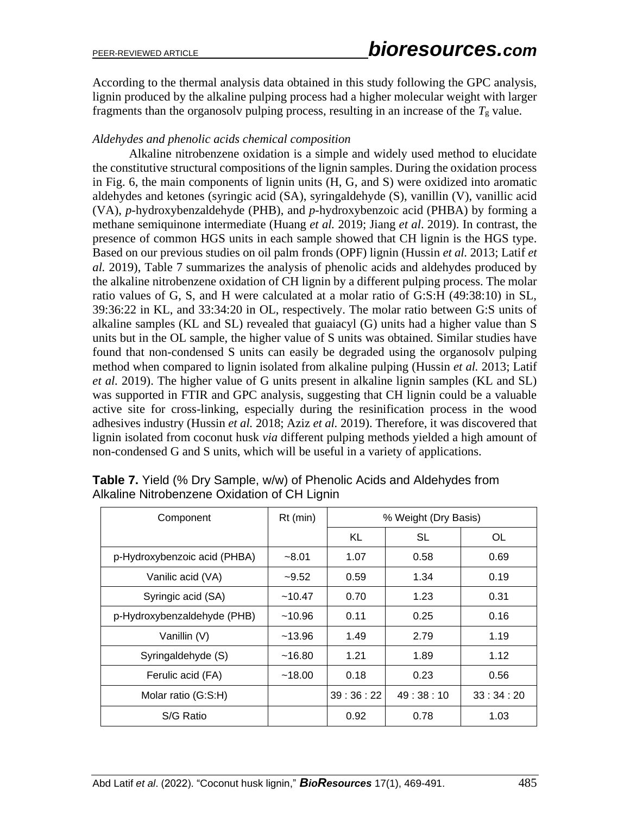According to the thermal analysis data obtained in this study following the GPC analysis, lignin produced by the alkaline pulping process had a higher molecular weight with larger fragments than the organosolv pulping process, resulting in an increase of the  $T<sub>g</sub>$  value.

# *Aldehydes and phenolic acids chemical composition*

Alkaline nitrobenzene oxidation is a simple and widely used method to elucidate the constitutive structural compositions of the lignin samples. During the oxidation process in Fig. 6, the main components of lignin units (H, G, and S) were oxidized into aromatic aldehydes and ketones (syringic acid (SA), syringaldehyde (S), vanillin (V), vanillic acid (VA), *p*-hydroxybenzaldehyde (PHB), and *p*-hydroxybenzoic acid (PHBA) by forming a methane semiquinone intermediate (Huang *et al.* 2019; Jiang *et al*. 2019). In contrast, the presence of common HGS units in each sample showed that CH lignin is the HGS type. Based on our previous studies on oil palm fronds (OPF) lignin (Hussin *et al.* 2013; Latif *et al.* 2019), Table 7 summarizes the analysis of phenolic acids and aldehydes produced by the alkaline nitrobenzene oxidation of CH lignin by a different pulping process. The molar ratio values of G, S, and H were calculated at a molar ratio of G:S:H (49:38:10) in SL, 39:36:22 in KL, and 33:34:20 in OL, respectively. The molar ratio between G:S units of alkaline samples (KL and SL) revealed that guaiacyl (G) units had a higher value than S units but in the OL sample, the higher value of S units was obtained. Similar studies have found that non-condensed S units can easily be degraded using the organosolv pulping method when compared to lignin isolated from alkaline pulping (Hussin *et al.* 2013; Latif *et al.* 2019). The higher value of G units present in alkaline lignin samples (KL and SL) was supported in FTIR and GPC analysis, suggesting that CH lignin could be a valuable active site for cross-linking, especially during the resinification process in the wood adhesives industry (Hussin *et al.* 2018; Aziz *et al.* 2019). Therefore, it was discovered that lignin isolated from coconut husk *via* different pulping methods yielded a high amount of non-condensed G and S units, which will be useful in a variety of applications.

| Component                    | $Rt$ (min) | % Weight (Dry Basis) |          |          |
|------------------------------|------------|----------------------|----------|----------|
|                              |            | KL                   | SL       | OL       |
| p-Hydroxybenzoic acid (PHBA) | $-8.01$    | 1.07                 | 0.58     | 0.69     |
| Vanilic acid (VA)            | $-9.52$    | 0.59                 | 1.34     | 0.19     |
| Syringic acid (SA)           | ~10.47     | 0.70                 | 1.23     | 0.31     |
| p-Hydroxybenzaldehyde (PHB)  | ~10.96     | 0.11                 | 0.25     | 0.16     |
| Vanillin (V)                 | ~13.96     | 1.49                 | 2.79     | 1.19     |
| Syringaldehyde (S)           | ~16.80     | 1.21                 | 1.89     | 1.12     |
| Ferulic acid (FA)            | ~18.00     | 0.18                 | 0.23     | 0.56     |
| Molar ratio (G:S:H)          |            | 39:36:22             | 49:38:10 | 33:34:20 |
| S/G Ratio                    |            | 0.92                 | 0.78     | 1.03     |

**Table 7.** Yield (% Dry Sample, w/w) of Phenolic Acids and Aldehydes from Alkaline Nitrobenzene Oxidation of CH Lignin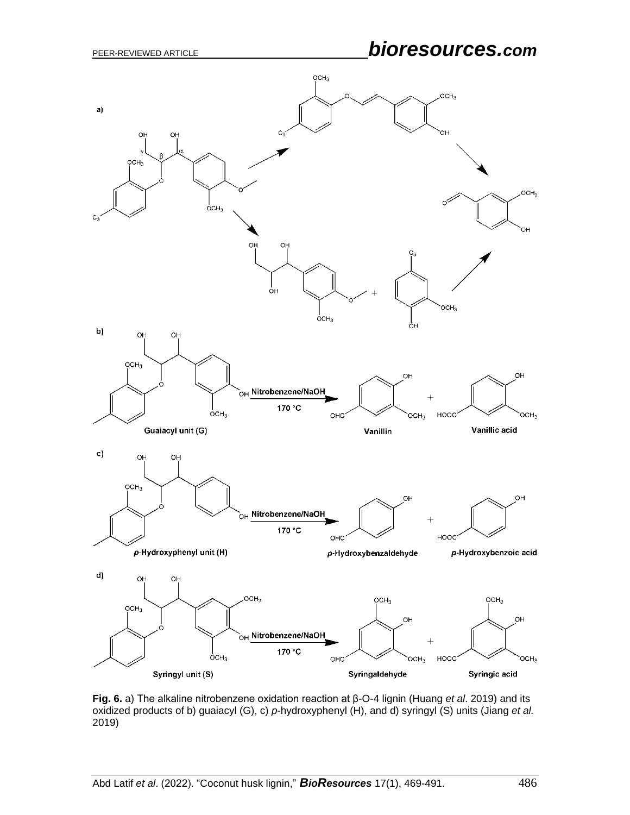

**Fig. 6.** a) The alkaline nitrobenzene oxidation reaction at β-O-4 lignin (Huang *et al*. 2019) and its oxidized products of b) guaiacyl (G), c) *p*-hydroxyphenyl (H), and d) syringyl (S) units (Jiang *et al.* 2019)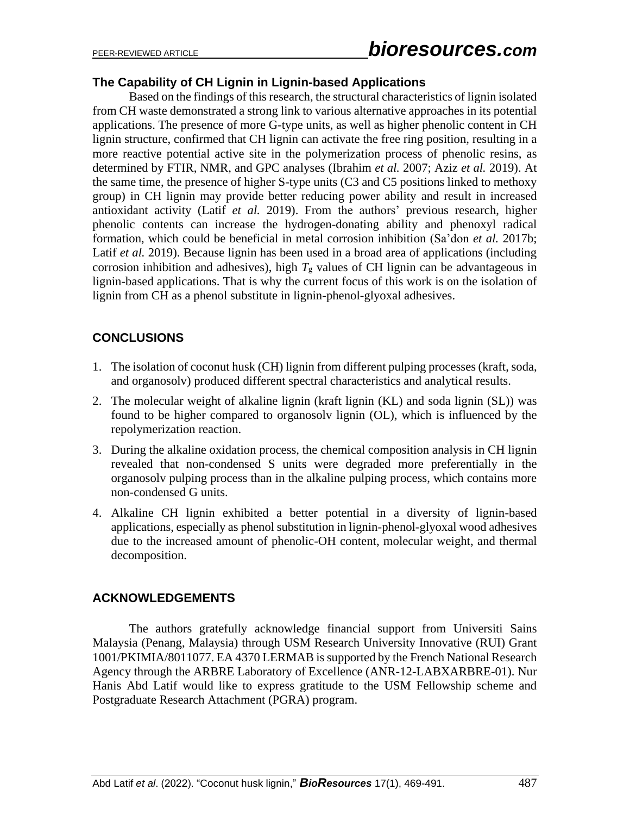# **The Capability of CH Lignin in Lignin-based Applications**

Based on the findings of this research, the structural characteristics of lignin isolated from CH waste demonstrated a strong link to various alternative approaches in its potential applications. The presence of more G-type units, as well as higher phenolic content in CH lignin structure, confirmed that CH lignin can activate the free ring position, resulting in a more reactive potential active site in the polymerization process of phenolic resins, as determined by FTIR, NMR, and GPC analyses (Ibrahim *et al.* 2007; Aziz *et al.* 2019). At the same time, the presence of higher S-type units (C3 and C5 positions linked to methoxy group) in CH lignin may provide better reducing power ability and result in increased antioxidant activity (Latif *et al.* 2019). From the authors' previous research, higher phenolic contents can increase the hydrogen-donating ability and phenoxyl radical formation, which could be beneficial in metal corrosion inhibition (Sa'don *et al.* 2017b; Latif *et al.* 2019). Because lignin has been used in a broad area of applications (including corrosion inhibition and adhesives), high  $T_g$  values of CH lignin can be advantageous in lignin-based applications. That is why the current focus of this work is on the isolation of lignin from CH as a phenol substitute in lignin-phenol-glyoxal adhesives.

# **CONCLUSIONS**

- 1. The isolation of coconut husk (CH) lignin from different pulping processes (kraft, soda, and organosolv) produced different spectral characteristics and analytical results.
- 2. The molecular weight of alkaline lignin (kraft lignin (KL) and soda lignin (SL)) was found to be higher compared to organosolv lignin (OL), which is influenced by the repolymerization reaction.
- 3. During the alkaline oxidation process, the chemical composition analysis in CH lignin revealed that non-condensed S units were degraded more preferentially in the organosolv pulping process than in the alkaline pulping process, which contains more non-condensed G units.
- 4. Alkaline CH lignin exhibited a better potential in a diversity of lignin-based applications, especially as phenol substitution in lignin-phenol-glyoxal wood adhesives due to the increased amount of phenolic-OH content, molecular weight, and thermal decomposition.

# **ACKNOWLEDGEMENTS**

The authors gratefully acknowledge financial support from Universiti Sains Malaysia (Penang, Malaysia) through USM Research University Innovative (RUI) Grant 1001/PKIMIA/8011077. EA 4370 LERMAB is supported by the French National Research Agency through the ARBRE Laboratory of Excellence (ANR-12-LABXARBRE-01). Nur Hanis Abd Latif would like to express gratitude to the USM Fellowship scheme and Postgraduate Research Attachment (PGRA) program.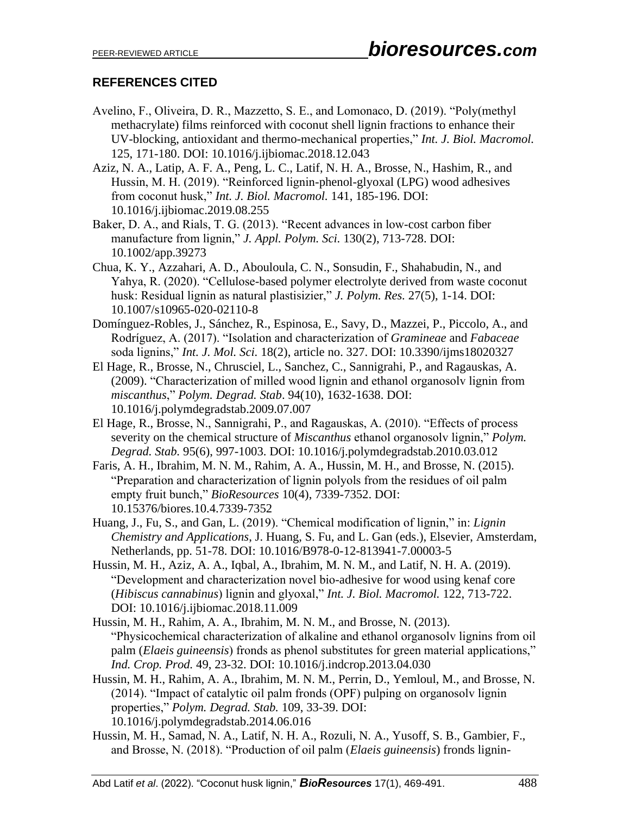# **REFERENCES CITED**

- Avelino, F., Oliveira, D. R., Mazzetto, S. E., and Lomonaco, D. (2019). "Poly(methyl methacrylate) films reinforced with coconut shell lignin fractions to enhance their UV-blocking, antioxidant and thermo-mechanical properties," *Int. J. Biol. Macromol.* 125, 171-180. DOI: 10.1016/j.ijbiomac.2018.12.043
- Aziz, N. A., Latip, A. F. A., Peng, L. C., Latif, N. H. A., Brosse, N., Hashim, R., and Hussin, M. H. (2019). "Reinforced lignin-phenol-glyoxal (LPG) wood adhesives from coconut husk," *Int. J. Biol. Macromol.* 141, 185-196. DOI: 10.1016/j.ijbiomac.2019.08.255
- Baker, D. A., and Rials, T. G. (2013). "Recent advances in low-cost carbon fiber manufacture from lignin," *J. Appl. Polym. Sci.* 130(2), 713-728. DOI: 10.1002/app.39273
- Chua, K. Y., Azzahari, A. D., Abouloula, C. N., Sonsudin, F., Shahabudin, N., and Yahya, R. (2020). "Cellulose-based polymer electrolyte derived from waste coconut husk: Residual lignin as natural plastisizier," *J. Polym. Res.* 27(5), 1-14. DOI: 10.1007/s10965-020-02110-8
- Domínguez-Robles, J., Sánchez, R., Espinosa, E., Savy, D., Mazzei, P., Piccolo, A., and Rodríguez, A. (2017). "Isolation and characterization of *Gramineae* and *Fabaceae*  soda lignins," *Int. J. Mol. Sci.* 18(2), article no. 327. DOI: 10.3390/ijms18020327
- El Hage, R., Brosse, N., Chrusciel, L., Sanchez, C., Sannigrahi, P., and Ragauskas, A. (2009). "Characterization of milled wood lignin and ethanol organosolv lignin from *miscanthus*," *Polym. Degrad. Stab*. 94(10), 1632-1638. DOI: 10.1016/j.polymdegradstab.2009.07.007
- El Hage, R., Brosse, N., Sannigrahi, P., and Ragauskas, A. (2010). "Effects of process severity on the chemical structure of *Miscanthus* ethanol organosolv lignin," *Polym. Degrad. Stab.* 95(6), 997-1003. DOI: 10.1016/j.polymdegradstab.2010.03.012
- Faris, A. H., Ibrahim, M. N. M., Rahim, A. A., Hussin, M. H., and Brosse, N. (2015). "Preparation and characterization of lignin polyols from the residues of oil palm empty fruit bunch," *BioResources* 10(4), 7339-7352. DOI: 10.15376/biores.10.4.7339-7352
- Huang, J., Fu, S., and Gan, L. (2019). "Chemical modification of lignin," in: *Lignin Chemistry and Applications*, J. Huang, S. Fu, and L. Gan (eds.), Elsevier, Amsterdam, Netherlands, pp. 51-78. DOI: 10.1016/B978-0-12-813941-7.00003-5
- Hussin, M. H., Aziz, A. A., Iqbal, A., Ibrahim, M. N. M., and Latif, N. H. A. (2019). "Development and characterization novel bio-adhesive for wood using kenaf core (*Hibiscus cannabinus*) lignin and glyoxal," *Int. J. Biol. Macromol.* 122, 713-722. DOI: 10.1016/j.ijbiomac.2018.11.009
- Hussin, M. H., Rahim, A. A., Ibrahim, M. N. M., and Brosse, N. (2013). "Physicochemical characterization of alkaline and ethanol organosolv lignins from oil palm (*Elaeis guineensis*) fronds as phenol substitutes for green material applications," *Ind. Crop. Prod.* 49, 23-32. DOI: 10.1016/j.indcrop.2013.04.030
- Hussin, M. H., Rahim, A. A., Ibrahim, M. N. M., Perrin, D., Yemloul, M., and Brosse, N. (2014). "Impact of catalytic oil palm fronds (OPF) pulping on organosolv lignin properties," *Polym. Degrad. Stab.* 109, 33-39. DOI: 10.1016/j.polymdegradstab.2014.06.016
- Hussin, M. H., Samad, N. A., Latif, N. H. A., Rozuli, N. A., Yusoff, S. B., Gambier, F., and Brosse, N. (2018). "Production of oil palm (*Elaeis guineensis*) fronds lignin-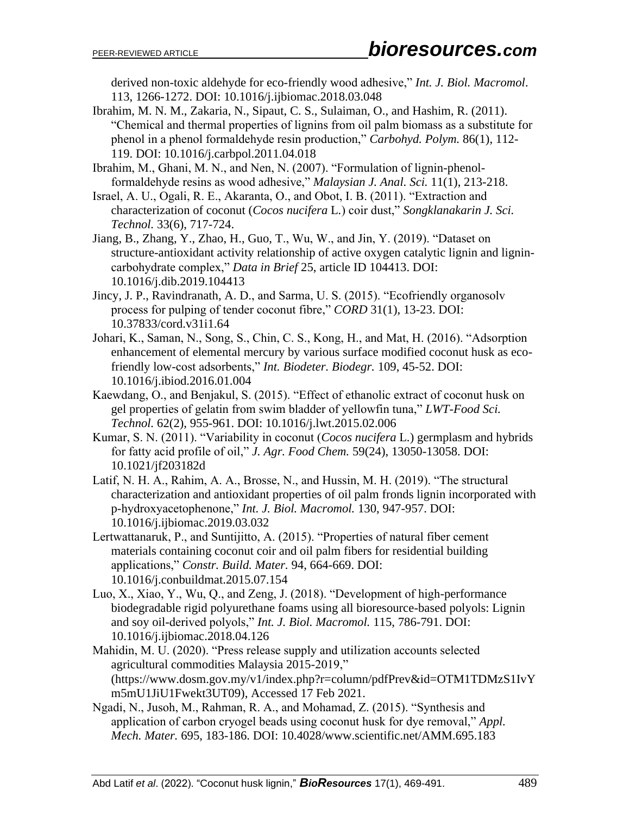derived non-toxic aldehyde for eco-friendly wood adhesive," *Int. J. Biol. Macromol*. 113, 1266-1272. DOI: 10.1016/j.ijbiomac.2018.03.048

Ibrahim, M. N. M., Zakaria, N., Sipaut, C. S., Sulaiman, O., and Hashim, R. (2011). "Chemical and thermal properties of lignins from oil palm biomass as a substitute for phenol in a phenol formaldehyde resin production," *Carbohyd. Polym.* 86(1), 112- 119. DOI: 10.1016/j.carbpol.2011.04.018

Ibrahim, M., Ghani, M. N., and Nen, N. (2007). "Formulation of lignin-phenolformaldehyde resins as wood adhesive," *Malaysian J. Anal. Sci.* 11(1), 213-218.

- Israel, A. U., Ogali, R. E., Akaranta, O., and Obot, I. B. (2011). "Extraction and characterization of coconut (*Cocos nucifera* L*.*) coir dust," *Songklanakarin J. Sci. Technol.* 33(6), 717-724.
- Jiang, B., Zhang, Y., Zhao, H., Guo, T., Wu, W., and Jin, Y. (2019). "Dataset on structure-antioxidant activity relationship of active oxygen catalytic lignin and lignincarbohydrate complex," *Data in Brief* 25, article ID 104413. DOI: 10.1016/j.dib.2019.104413
- Jincy, J. P., Ravindranath, A. D., and Sarma, U. S. (2015). "Ecofriendly organosolv process for pulping of tender coconut fibre," *CORD* 31(1), 13-23. DOI: 10.37833/cord.v31i1.64
- Johari, K., Saman, N., Song, S., Chin, C. S., Kong, H., and Mat, H. (2016). "Adsorption enhancement of elemental mercury by various surface modified coconut husk as ecofriendly low-cost adsorbents," *Int. Biodeter. Biodegr.* 109, 45-52. DOI: 10.1016/j.ibiod.2016.01.004
- Kaewdang, O., and Benjakul, S. (2015). "Effect of ethanolic extract of coconut husk on gel properties of gelatin from swim bladder of yellowfin tuna," *LWT-Food Sci. Technol.* 62(2), 955-961. DOI: 10.1016/j.lwt.2015.02.006
- Kumar, S. N. (2011). "Variability in coconut (*Cocos nucifera* L*.*) germplasm and hybrids for fatty acid profile of oil," *J. Agr. Food Chem.* 59(24), 13050-13058. DOI: 10.1021/jf203182d
- Latif, N. H. A., Rahim, A. A., Brosse, N., and Hussin, M. H. (2019). "The structural characterization and antioxidant properties of oil palm fronds lignin incorporated with p-hydroxyacetophenone," *Int. J. Biol. Macromol.* 130, 947-957. DOI: 10.1016/j.ijbiomac.2019.03.032
- Lertwattanaruk, P., and Suntijitto, A. (2015). "Properties of natural fiber cement materials containing coconut coir and oil palm fibers for residential building applications," *Constr. Build. Mater.* 94, 664-669. DOI: 10.1016/j.conbuildmat.2015.07.154
- Luo, X., Xiao, Y., Wu, Q., and Zeng, J. (2018). "Development of high-performance biodegradable rigid polyurethane foams using all bioresource-based polyols: Lignin and soy oil-derived polyols," *Int. J. Biol. Macromol.* 115, 786-791. DOI: 10.1016/j.ijbiomac.2018.04.126
- Mahidin, M. U. (2020). "Press release supply and utilization accounts selected agricultural commodities Malaysia 2015-2019," (https://www.dosm.gov.my/v1/index.php?r=column/pdfPrev&id=OTM1TDMzS1IvY m5mU1JiU1Fwekt3UT09), Accessed 17 Feb 2021.
- Ngadi, N., Jusoh, M., Rahman, R. A., and Mohamad, Z. (2015). "Synthesis and application of carbon cryogel beads using coconut husk for dye removal," *Appl. Mech. Mater.* 695, 183-186. DOI: 10.4028/www.scientific.net/AMM.695.183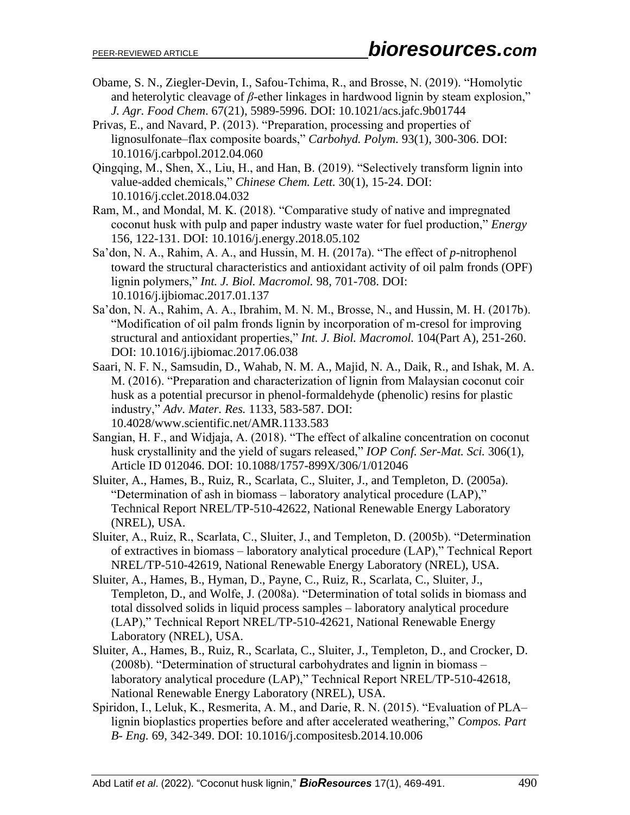- Obame, S. N., Ziegler-Devin, I., Safou-Tchima, R., and Brosse, N. (2019). "Homolytic and heterolytic cleavage of *β*-ether linkages in hardwood lignin by steam explosion," *J. Agr. Food Chem*. 67(21), 5989-5996. DOI: 10.1021/acs.jafc.9b01744
- Privas, E., and Navard, P. (2013). "Preparation, processing and properties of lignosulfonate–flax composite boards," *Carbohyd. Polym.* 93(1), 300-306. DOI: 10.1016/j.carbpol.2012.04.060
- Qingqing, M., Shen, X., Liu, H., and Han, B. (2019). "Selectively transform lignin into value-added chemicals," *Chinese Chem. Lett.* 30(1), 15-24. DOI: 10.1016/j.cclet.2018.04.032
- Ram, M., and Mondal, M. K. (2018). "Comparative study of native and impregnated coconut husk with pulp and paper industry waste water for fuel production," *Energy* 156, 122-131. DOI: 10.1016/j.energy.2018.05.102
- Sa'don, N. A., Rahim, A. A., and Hussin, M. H. (2017a). "The effect of *p*-nitrophenol toward the structural characteristics and antioxidant activity of oil palm fronds (OPF) lignin polymers," *Int. J. Biol. Macromol.* 98, 701-708. DOI: 10.1016/j.ijbiomac.2017.01.137
- Sa'don, N. A., Rahim, A. A., Ibrahim, M. N. M., Brosse, N., and Hussin, M. H. (2017b). "Modification of oil palm fronds lignin by incorporation of m-cresol for improving structural and antioxidant properties," *Int. J. Biol. Macromol.* 104(Part A), 251-260. DOI: 10.1016/j.ijbiomac.2017.06.038
- Saari, N. F. N., Samsudin, D., Wahab, N. M. A., Majid, N. A., Daik, R., and Ishak, M. A. M. (2016). "Preparation and characterization of lignin from Malaysian coconut coir husk as a potential precursor in phenol-formaldehyde (phenolic) resins for plastic industry," *Adv. Mater. Res.* 1133, 583-587. DOI: 10.4028/www.scientific.net/AMR.1133.583
- Sangian, H. F., and Widjaja, A. (2018). "The effect of alkaline concentration on coconut husk crystallinity and the yield of sugars released," *IOP Conf. Ser-Mat. Sci.* 306(1), Article ID 012046. DOI: 10.1088/1757-899X/306/1/012046
- Sluiter, A., Hames, B., Ruiz, R., Scarlata, C., Sluiter, J., and Templeton, D. (2005a). "Determination of ash in biomass – laboratory analytical procedure (LAP)," Technical Report NREL/TP-510-42622, National Renewable Energy Laboratory (NREL), USA.
- Sluiter, A., Ruiz, R., Scarlata, C., Sluiter, J., and Templeton, D. (2005b). "Determination of extractives in biomass – laboratory analytical procedure (LAP)," Technical Report NREL/TP-510-42619, National Renewable Energy Laboratory (NREL), USA.
- Sluiter, A., Hames, B., Hyman, D., Payne, C., Ruiz, R., Scarlata, C., Sluiter, J., Templeton, D., and Wolfe, J. (2008a). "Determination of total solids in biomass and total dissolved solids in liquid process samples – laboratory analytical procedure (LAP)," Technical Report NREL/TP-510-42621, National Renewable Energy Laboratory (NREL), USA.
- Sluiter, A., Hames, B., Ruiz, R., Scarlata, C., Sluiter, J., Templeton, D., and Crocker, D. (2008b). "Determination of structural carbohydrates and lignin in biomass – laboratory analytical procedure (LAP)," Technical Report NREL/TP-510-42618, National Renewable Energy Laboratory (NREL), USA.
- Spiridon, I., Leluk, K., Resmerita, A. M., and Darie, R. N. (2015). "Evaluation of PLA– lignin bioplastics properties before and after accelerated weathering," *Compos. Part B- Eng.* 69, 342-349. DOI: 10.1016/j.compositesb.2014.10.006